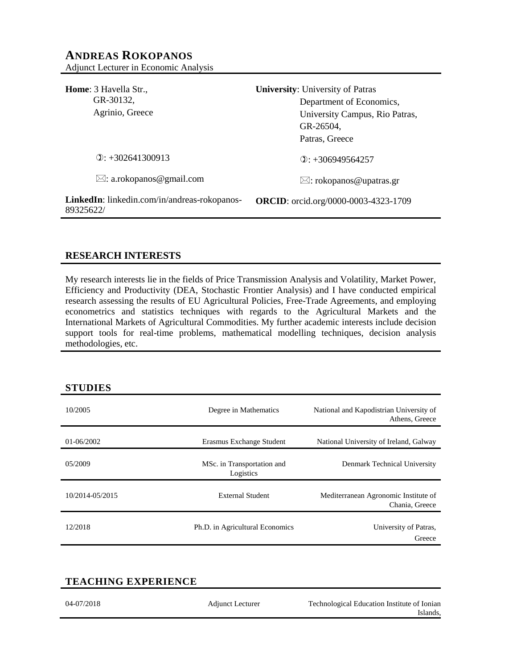# **ANDREAS ROKOPANOS** Adjunct Lecturer in Economic Analysis

| <b>Home:</b> 3 Havella Str.,<br>GR-30132,<br>Agrinio, Greece     | <b>University:</b> University of Patras<br>Department of Economics,<br>University Campus, Rio Patras,<br>GR-26504,<br>Patras, Greece |
|------------------------------------------------------------------|--------------------------------------------------------------------------------------------------------------------------------------|
| $\odot$ : +302641300913                                          | $(2)$ : +306949564257                                                                                                                |
| $\boxtimes$ : a.rokopanos@gmail.com                              | $\boxtimes$ : rokopanos@upatras.gr                                                                                                   |
| <b>LinkedIn:</b> linkedin.com/in/andreas-rokopanos-<br>89325622/ | <b>ORCID</b> : orcid.org/0000-0003-4323-1709                                                                                         |

# **RESEARCH INTERESTS**

My research interests lie in the fields of Price Transmission Analysis and Volatility, Market Power, Efficiency and Productivity (DEA, Stochastic Frontier Analysis) and I have conducted empirical research assessing the results of EU Agricultural Policies, Free-Trade Agreements, and employing econometrics and statistics techniques with regards to the Agricultural Markets and the International Markets of Agricultural Commodities. My further academic interests include decision support tools for real-time problems, mathematical modelling techniques, decision analysis methodologies, etc.

## **STUDIES**

| 10/2005         | Degree in Mathematics                   | National and Kapodistrian University of<br>Athens, Greece |
|-----------------|-----------------------------------------|-----------------------------------------------------------|
| 01-06/2002      | Erasmus Exchange Student                | National University of Ireland, Galway                    |
| 05/2009         | MSc. in Transportation and<br>Logistics | Denmark Technical University                              |
| 10/2014-05/2015 | External Student                        | Mediterranean Agronomic Institute of<br>Chania, Greece    |
| 12/2018         | Ph.D. in Agricultural Economics         | University of Patras,<br>Greece                           |

# **TEACHING EXPERIENCE**

| 04-07/2018 | <b>Adjunct Lecturer</b> | Technological Education Institute of Ionian |
|------------|-------------------------|---------------------------------------------|
|            |                         | Islands.                                    |
|            |                         |                                             |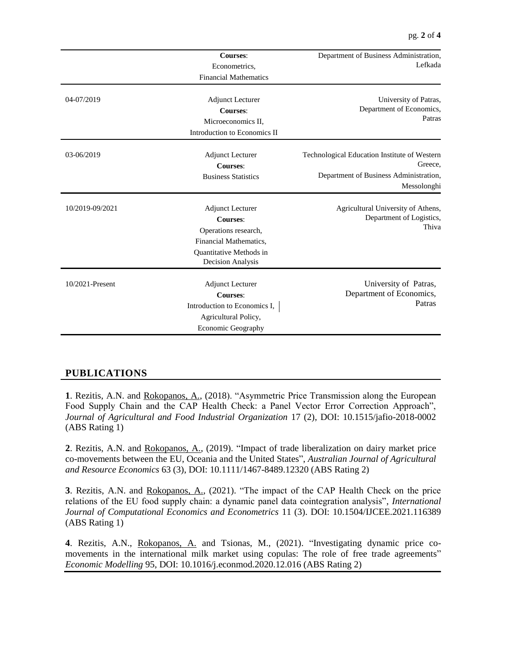| 04-07/2019      | <b>Courses:</b><br>Econometrics,<br><b>Financial Mathematics</b><br><b>Adjunct Lecturer</b><br><b>Courses:</b><br>Microeconomics II,<br>Introduction to Economics II | Department of Business Administration,<br>Lefkada<br>University of Patras,<br>Department of Economics,<br>Patras |
|-----------------|----------------------------------------------------------------------------------------------------------------------------------------------------------------------|------------------------------------------------------------------------------------------------------------------|
| 03-06/2019      | <b>Adjunct Lecturer</b><br><b>Courses:</b><br><b>Business Statistics</b>                                                                                             | Technological Education Institute of Western<br>Greece.<br>Department of Business Administration,<br>Messolonghi |
| 10/2019-09/2021 | <b>Adjunct Lecturer</b><br><b>Courses:</b><br>Operations research,<br>Financial Mathematics,<br>Quantitative Methods in<br>Decision Analysis                         | Agricultural University of Athens,<br>Department of Logistics,<br>Thiva                                          |
| 10/2021-Present | <b>Adjunct Lecturer</b><br><b>Courses:</b><br>Introduction to Economics I,<br>Agricultural Policy,<br><b>Economic Geography</b>                                      | University of Patras,<br>Department of Economics,<br>Patras                                                      |

# **PUBLICATIONS**

**1**. Rezitis, A.N. and Rokopanos, A., (2018). "Asymmetric Price Transmission along the European Food Supply Chain and the CAP Health Check: a Panel Vector Error Correction Approach", *Journal of Agricultural and Food Industrial Organization* 17 (2), DOI: 10.1515/jafio-2018-0002 (ABS Rating 1)

**2**. Rezitis, A.N. and Rokopanos, A., (2019). "Impact of trade liberalization on dairy market price co-movements between the EU, Oceania and the United States", *Australian Journal of Agricultural and Resource Economics* 63 (3), DOI: 10.1111/1467-8489.12320 (ABS Rating 2)

**3**. Rezitis, A.N. and Rokopanos, A., (2021). "The impact of the CAP Health Check on the price relations of the EU food supply chain: a dynamic panel data cointegration analysis", *International Journal of Computational Economics and Econometrics* 11 (3). DOI: 10.1504/IJCEE.2021.116389 (ABS Rating 1)

**4**. Rezitis, A.N., Rokopanos, A. and Tsionas, M., (2021). "Investigating dynamic price comovements in the international milk market using copulas: The role of free trade agreements" *Economic Modelling* 95, DOI: 10.1016/j.econmod.2020.12.016 (ABS Rating 2)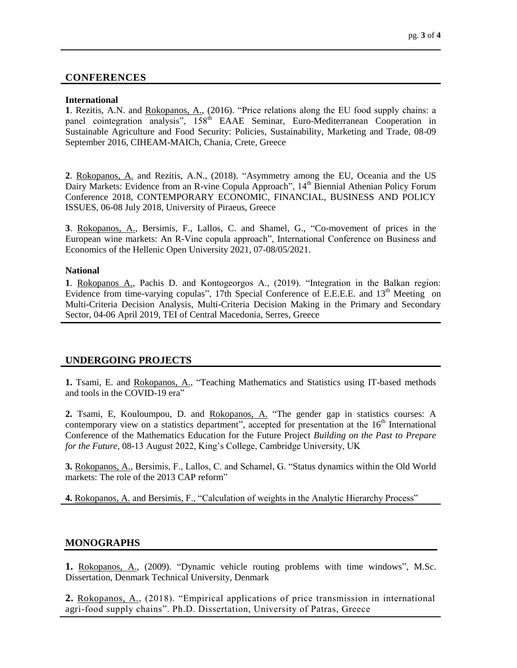## **CONFERENCES**

#### **International**

**1**. Rezitis, A.N. and Rokopanos, A., (2016). "Price relations along the EU food supply chains: a panel cointegration analysis", 158<sup>th</sup> EAAE Seminar, Euro-Mediterranean Cooperation in Sustainable Agriculture and Food Security: Policies, Sustainability, Marketing and Trade, 08-09 September 2016, CIHEAM-MAICh, Chania, Crete, Greece

**2**. Rokopanos, A. and Rezitis, A.N., (2018). "Asymmetry among the EU, Oceania and the US Dairy Markets: Evidence from an R-vine Copula Approach", 14<sup>th</sup> Biennial Athenian Policy Forum Conference 2018, CONTEMPORARY ECONOMIC, FINANCIAL, BUSINESS AND POLICY ISSUES, 06-08 July 2018, University of Piraeus, Greece

**3**. Rokopanos, A., Bersimis, F., Lallos, C. and Shamel, G., "Co-movement of prices in the European wine markets: An R-Vine copula approach", International Conference on Business and Economics of the Hellenic Open University 2021, 07-08/05/2021.

#### **National**

**1**. Rokopanos A., Pachis D. and Kontogeorgos A., (2019). "Integration in the Balkan region: Evidence from time-varying copulas", 17th Special Conference of E.E.E.E. and 13<sup>th</sup> Meeting on Multi-Criteria Decision Analysis, Multi-Criteria Decision Making in the Primary and Secondary Sector, 04-06 April 2019, ΤΕΙ of Central Macedonia, Serres, Greece

## **UNDERGOING PROJECTS**

**1.** Tsami, E. and Rokopanos, A., "Teaching Mathematics and Statistics using IT-based methods and tools in the COVID-19 era"

**2.** Tsami, E, Kouloumpou, D. and Rokopanos, A. "The gender gap in statistics courses: A contemporary view on a statistics department", accepted for presentation at the  $16<sup>th</sup>$  International Conference of the Mathematics Education for the Future Project *Building on the Past to Prepare for the Future*, 08-13 August 2022, King's College, Cambridge University, UK

**3.** Rokopanos, A., Bersimis, F., Lallos, C. and Schamel, G. "Status dynamics within the Old World markets: The role of the 2013 CAP reform"

**4.** Rokopanos, A. and Bersimis, F., "Calculation of weights in the Analytic Hierarchy Process"

## **MONOGRAPHS**

**1.** Rokopanos, A., (2009). "Dynamic vehicle routing problems with time windows", M.Sc. Dissertation, Denmark Technical University, Denmark

**2.** Rokopanos, A., (2018). "Empirical applications of price transmission in international agri-food supply chains". Ph.D. Dissertation, University of Patras, Greece